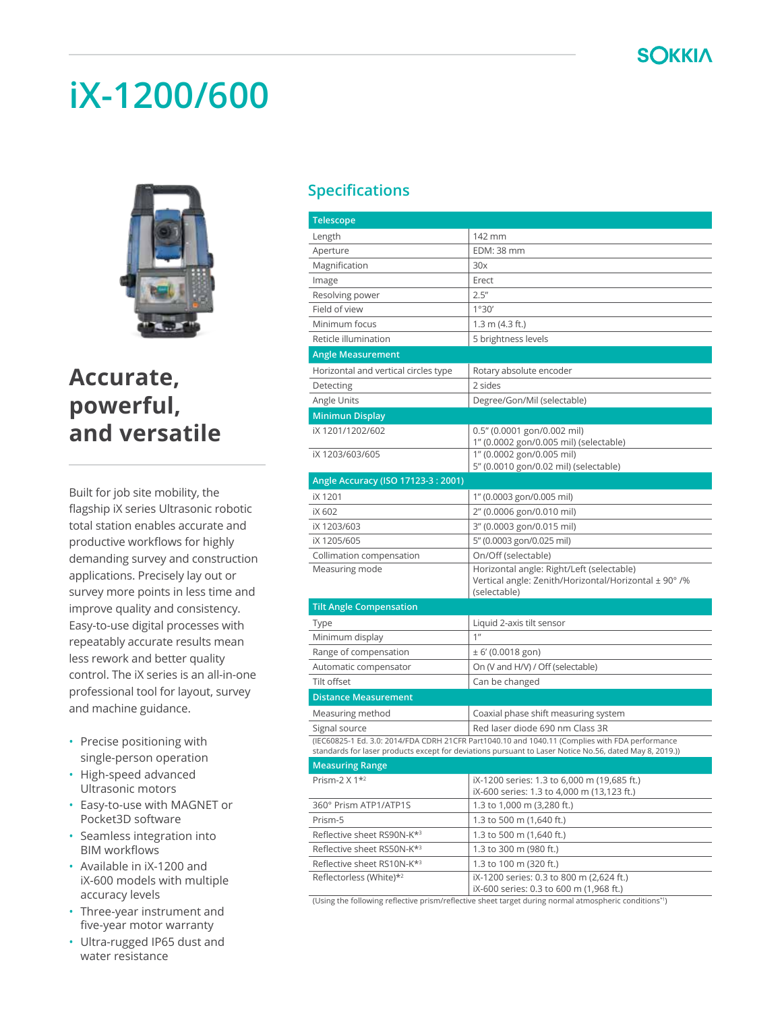

### **iX-1200/600**



### **Accurate, powerful, and versatile**

Built for job site mobility, the flagship iX series Ultrasonic robotic total station enables accurate and productive workflows for highly demanding survey and construction applications. Precisely lay out or survey more points in less time and improve quality and consistency. Easy-to-use digital processes with repeatably accurate results mean less rework and better quality control. The iX series is an all-in-one professional tool for layout, survey and machine guidance.

- Precise positioning with single-person operation
- High-speed advanced Ultrasonic motors
- Easy-to-use with MAGNET or Pocket3D software
- Seamless integration into BIM workflows
- Available in iX-1200 and iX-600 models with multiple accuracy levels
- Three-year instrument and five-year motor warranty
- Ultra-rugged IP65 dust and water resistance

#### **Specifications**

| Telescope                              |                                                                                                                                                                                                            |
|----------------------------------------|------------------------------------------------------------------------------------------------------------------------------------------------------------------------------------------------------------|
| Length                                 | 142 mm                                                                                                                                                                                                     |
| Aperture                               | <b>EDM: 38 mm</b>                                                                                                                                                                                          |
| Magnification                          | 30x                                                                                                                                                                                                        |
| Image                                  | Erect                                                                                                                                                                                                      |
| Resolving power                        | 2.5''                                                                                                                                                                                                      |
| Field of view                          | 1°30'                                                                                                                                                                                                      |
| Minimum focus                          | $1.3$ m (4.3 ft.)                                                                                                                                                                                          |
| Reticle illumination                   | 5 brightness levels                                                                                                                                                                                        |
| <b>Angle Measurement</b>               |                                                                                                                                                                                                            |
| Horizontal and vertical circles type   | Rotary absolute encoder                                                                                                                                                                                    |
| Detecting                              | 2 sides                                                                                                                                                                                                    |
| Angle Units                            | Degree/Gon/Mil (selectable)                                                                                                                                                                                |
| <b>Minimun Display</b>                 |                                                                                                                                                                                                            |
| iX 1201/1202/602                       | 0.5" (0.0001 gon/0.002 mil)                                                                                                                                                                                |
|                                        | 1" (0.0002 gon/0.005 mil) (selectable)                                                                                                                                                                     |
| iX 1203/603/605                        | 1" (0.0002 gon/0.005 mil)                                                                                                                                                                                  |
|                                        | 5" (0.0010 gon/0.02 mil) (selectable)                                                                                                                                                                      |
| Angle Accuracy (ISO 17123-3: 2001)     |                                                                                                                                                                                                            |
| iX 1201                                | 1" (0.0003 gon/0.005 mil)                                                                                                                                                                                  |
| iX 602                                 | 2" (0.0006 gon/0.010 mil)                                                                                                                                                                                  |
| iX 1203/603                            | 3" (0.0003 gon/0.015 mil)                                                                                                                                                                                  |
| iX 1205/605                            | 5" (0.0003 gon/0.025 mil)                                                                                                                                                                                  |
| Collimation compensation               | On/Off (selectable)                                                                                                                                                                                        |
| Measuring mode                         | Horizontal angle: Right/Left (selectable)<br>Vertical angle: Zenith/Horizontal/Horizontal ± 90°/%<br>(selectable)                                                                                          |
| <b>Tilt Angle Compensation</b>         |                                                                                                                                                                                                            |
| Type                                   | Liquid 2-axis tilt sensor                                                                                                                                                                                  |
| Minimum display                        | 1 <sup>n</sup>                                                                                                                                                                                             |
| Range of compensation                  | $\pm$ 6' (0.0018 gon)                                                                                                                                                                                      |
| Automatic compensator                  | On (V and H/V) / Off (selectable)                                                                                                                                                                          |
| Tilt offset                            | Can be changed                                                                                                                                                                                             |
| <b>Distance Measurement</b>            |                                                                                                                                                                                                            |
| Measuring method                       | Coaxial phase shift measuring system                                                                                                                                                                       |
| Signal source                          | Red laser diode 690 nm Class 3R                                                                                                                                                                            |
|                                        | (IEC60825-1 Ed. 3.0: 2014/FDA CDRH 21CFR Part1040.10 and 1040.11 (Complies with FDA performance<br>standards for laser products except for deviations pursuant to Laser Notice No.56, dated May 8, 2019.)) |
| <b>Measuring Range</b>                 |                                                                                                                                                                                                            |
| Prism-2 $\times$ 1 <sup>*2</sup>       | iX-1200 series: 1.3 to 6,000 m (19,685 ft.)<br>iX-600 series: 1.3 to 4,000 m (13,123 ft.)                                                                                                                  |
| 360° Prism ATP1/ATP1S                  | 1.3 to 1,000 m (3,280 ft.)                                                                                                                                                                                 |
| Prism-5                                | 1.3 to 500 m (1,640 ft.)                                                                                                                                                                                   |
| Reflective sheet RS90N-K* <sup>3</sup> | 1.3 to 500 m (1,640 ft.)                                                                                                                                                                                   |
| Reflective sheet RS50N-K* <sup>3</sup> | 1.3 to 300 m (980 ft.)                                                                                                                                                                                     |
| Reflective sheet RS10N-K* <sup>3</sup> | 1.3 to 100 m (320 ft.)                                                                                                                                                                                     |
| Reflectorless (White)*2                | iX-1200 series: 0.3 to 800 m (2.624 ft.)<br>iX-600 series: 0.3 to 600 m (1,968 ft.)                                                                                                                        |

(Using the following reflective prism/reflective sheet target during normal atmospheric conditions\*1)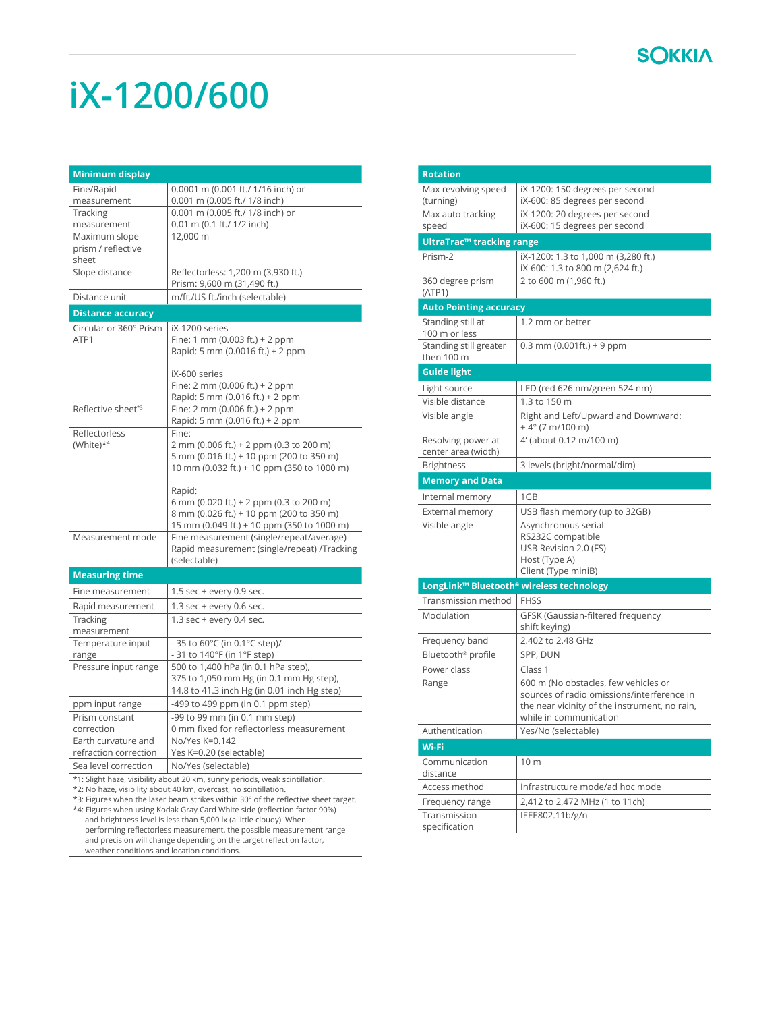

# **iX-1200/600**

| <b>Minimum display</b>                                                                                                                          |                                                                    |  |
|-------------------------------------------------------------------------------------------------------------------------------------------------|--------------------------------------------------------------------|--|
| Fine/Rapid                                                                                                                                      | 0.0001 m (0.001 ft./ 1/16 inch) or                                 |  |
| measurement                                                                                                                                     | 0.001 m (0.005 ft./ 1/8 inch)                                      |  |
| Tracking                                                                                                                                        | 0.001 m (0.005 ft./ 1/8 inch) or                                   |  |
| measurement                                                                                                                                     | 0.01 m (0.1 ft./ 1/2 inch)                                         |  |
| Maximum slope                                                                                                                                   | 12,000 m                                                           |  |
| prism / reflective                                                                                                                              |                                                                    |  |
| sheet                                                                                                                                           |                                                                    |  |
| Slope distance                                                                                                                                  | Reflectorless: 1,200 m (3,930 ft.)                                 |  |
| Distance unit                                                                                                                                   | Prism: 9,600 m (31,490 ft.)<br>m/ft./US ft./inch (selectable)      |  |
|                                                                                                                                                 |                                                                    |  |
| <b>Distance accuracy</b>                                                                                                                        |                                                                    |  |
| Circular or 360° Prism                                                                                                                          | iX-1200 series                                                     |  |
| ATP1                                                                                                                                            | Fine: 1 mm (0.003 ft.) + 2 ppm<br>Rapid: 5 mm (0.0016 ft.) + 2 ppm |  |
|                                                                                                                                                 |                                                                    |  |
|                                                                                                                                                 | iX-600 series                                                      |  |
|                                                                                                                                                 | Fine: 2 mm (0.006 ft.) + 2 ppm                                     |  |
|                                                                                                                                                 | Rapid: 5 mm (0.016 ft.) + 2 ppm                                    |  |
| Reflective sheet* <sup>3</sup>                                                                                                                  | Fine: $2 \text{ mm}$ (0.006 ft.) + $2 \text{ ppm}$                 |  |
|                                                                                                                                                 | Rapid: 5 mm (0.016 ft.) + 2 ppm                                    |  |
| Reflectorless                                                                                                                                   | Fine:                                                              |  |
| (White) $*^4$                                                                                                                                   | 2 mm (0.006 ft.) + 2 ppm (0.3 to 200 m)                            |  |
|                                                                                                                                                 | 5 mm (0.016 ft.) + 10 ppm (200 to 350 m)                           |  |
|                                                                                                                                                 | 10 mm (0.032 ft.) + 10 ppm (350 to 1000 m)                         |  |
|                                                                                                                                                 | Rapid:                                                             |  |
|                                                                                                                                                 | 6 mm (0.020 ft.) + 2 ppm (0.3 to 200 m)                            |  |
|                                                                                                                                                 | 8 mm (0.026 ft.) + 10 ppm (200 to 350 m)                           |  |
|                                                                                                                                                 | 15 mm (0.049 ft.) + 10 ppm (350 to 1000 m)                         |  |
| Measurement mode                                                                                                                                | Fine measurement (single/repeat/average)                           |  |
|                                                                                                                                                 | Rapid measurement (single/repeat) /Tracking                        |  |
|                                                                                                                                                 | (selectable)                                                       |  |
| <b>Measuring time</b>                                                                                                                           |                                                                    |  |
| Fine measurement                                                                                                                                | 1.5 sec + every 0.9 sec.                                           |  |
| Rapid measurement                                                                                                                               | 1.3 sec + every 0.6 sec.                                           |  |
| Tracking                                                                                                                                        | 1.3 sec + every 0.4 sec.                                           |  |
| measurement                                                                                                                                     |                                                                    |  |
| Temperature input                                                                                                                               | - 35 to 60°C (in 0.1°C step)/                                      |  |
| range                                                                                                                                           | - 31 to 140°F (in 1°F step)                                        |  |
| Pressure input range                                                                                                                            | 500 to 1,400 hPa (in 0.1 hPa step),                                |  |
|                                                                                                                                                 | 375 to 1,050 mm Hg (in 0.1 mm Hg step),                            |  |
|                                                                                                                                                 | 14.8 to 41.3 inch Hg (in 0.01 inch Hg step)                        |  |
| ppm input range                                                                                                                                 | -499 to 499 ppm (in 0.1 ppm step)                                  |  |
| Prism constant                                                                                                                                  | -99 to 99 mm (in 0.1 mm step)                                      |  |
| correction<br>Earth curvature and                                                                                                               | 0 mm fixed for reflectorless measurement<br>No/Yes K=0.142         |  |
| refraction correction                                                                                                                           | Yes K=0.20 (selectable)                                            |  |
| Sea level correction                                                                                                                            | No/Yes (selectable)                                                |  |
|                                                                                                                                                 |                                                                    |  |
| *1: Slight haze, visibility about 20 km, sunny periods, weak scintillation.<br>*2: No haze, visibility about 40 km, overcast, no scintillation. |                                                                    |  |
| *3; Figures when the laser heam strikes within 30° of the reflective sheet target                                                               |                                                                    |  |

\*3: Figures when the laser beam strikes within 30° of the reflective sheet target.<br>\*4: Figures when using Kodak Gray Card White side (reflection factor 90%)<br>and brightness level is less than 5,000 lx (a little cloudy). Whe and precision will change depending on the target reflection factor, weather conditions and location conditions.